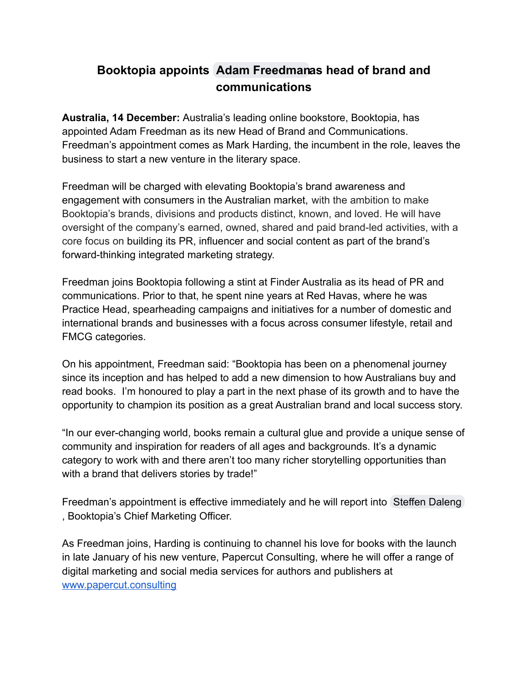## **Booktopia appoints Adam [Freedmana](mailto:adamf@booktopia.com.au)s head of brand and communications**

**Australia, 14 December:** Australia's leading online bookstore, Booktopia, has appointed Adam Freedman as its new Head of Brand and Communications. Freedman's appointment comes as Mark Harding, the incumbent in the role, leaves the business to start a new venture in the literary space.

Freedman will be charged with elevating Booktopia's brand awareness and engagement with consumers in the Australian market, with the ambition to make Booktopia's brands, divisions and products distinct, known, and loved. He will have oversight of the company's earned, owned, shared and paid brand-led activities, with a core focus on building its PR, influencer and social content as part of the brand's forward-thinking integrated marketing strategy.

Freedman joins Booktopia following a stint at Finder Australia as its head of PR and communications. Prior to that, he spent nine years at Red Havas, where he was Practice Head, spearheading campaigns and initiatives for a number of domestic and international brands and businesses with a focus across consumer lifestyle, retail and FMCG categories.

On his appointment, Freedman said: "Booktopia has been on a phenomenal journey since its inception and has helped to add a new dimension to how Australians buy and read books. I'm honoured to play a part in the next phase of its growth and to have the opportunity to champion its position as a great Australian brand and local success story.

"In our ever-changing world, books remain a cultural glue and provide a unique sense of community and inspiration for readers of all ages and backgrounds. It's a dynamic category to work with and there aren't too many richer storytelling opportunities than with a brand that delivers stories by trade!"

Freedman's appointment is effective immediately and he will report into [Steffen Daleng](mailto:steffend@booktopia.com.au) , Booktopia's Chief Marketing Officer.

As Freedman joins, Harding is continuing to channel his love for books with the launch in late January of his new venture, Papercut Consulting, where he will offer a range of digital marketing and social media services for authors and publishers at [www.papercut.consulting](http://www.papercut.consulting)